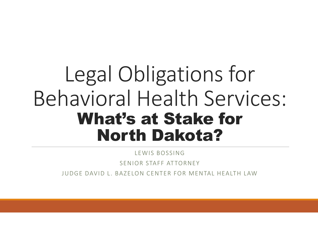# Legal Obligations for Behavioral Health Services: What's at Stake for North Dakota?

LEWIS BOSSING SENIOR STAFF ATTORNEY JUDGE DAVID L. BAZELON CENTER FOR MENTAL HEALTH LAW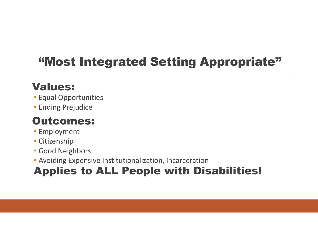### "Most Integrated Setting Appropriate"

### Values:

- Equal Opportunities
- Ending Prejudice

### Outcomes:

- Employment
- Citizenship
- Good Neighbors
- Avoiding Expensive Institutionalization, Incarceration

### Applies to ALL People with Disabilities!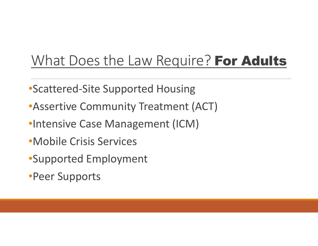### What Does the Law Require? For Adults

- •Scattered-Site Supported Housing
- •Assertive Community Treatment (ACT)
- •Intensive Case Management (ICM)
- •Mobile Crisis Services
- •Supported Employment
- •Peer Supports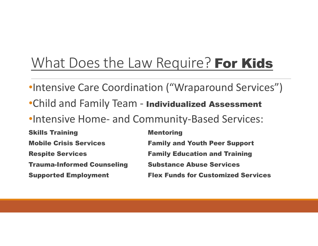### What Does the Law Require? For Kids

- •Intensive Care Coordination ("Wraparound Services")
- •Child and Family Team Individualized Assessment
- •Intensive Home- and Community-Based Services:

**Skills Training Communist Communist Communist Communist Communist Communist Communist Communist Communist Communist Communist Communist Communist Communist Communist Communist Communist Communist Communist Communist Commu** Mobile Crisis Services Family and Youth Peer Support Respite Services Family Education and Training **Trauma-Informed Counseling Substance Abuse Services** Supported Employment Flex Funds for Customized Services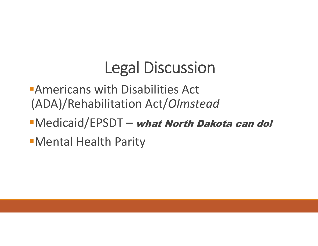## Legal Discussion

- **Americans with Disabilities Act** (ADA)/Rehabilitation Act/*Olmstead*
- **Nedicaid/EPSDT what North Dakota can do!**
- Mental Health Parity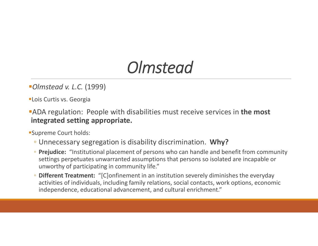### *Olmstead*

#### *Olmstead v. L.C.* (1999)

**-Lois Curtis vs. Georgia** 

**ADA** regulation: People with disabilities must receive services in the most integrated setting appropriate.

Supreme Court holds:

- Unnecessary segregation is disability discrimination. Why?
- Prejudice: "Institutional placement of persons who can handle and benefit from community settings perpetuates unwarranted assumptions that persons so isolated are incapable or unworthy of participating in community life."
- Different Treatment: "[C]onfinement in an institution severely diminishes the everyday activities of individuals, including family relations, social contacts, work options, economic independence, educational advancement, and cultural enrichment."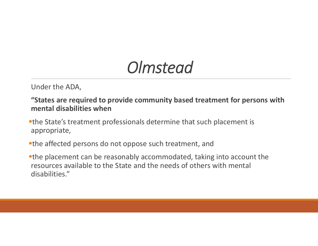### *Olmstead*

Under the ADA,

"States are required to provide community based treatment for persons with mental disabilities when

the State's treatment professionals determine that such placement is appropriate,

the affected persons do not oppose such treatment, and

the placement can be reasonably accommodated, taking into account the resources available to the State and the needs of others with mental disabilities."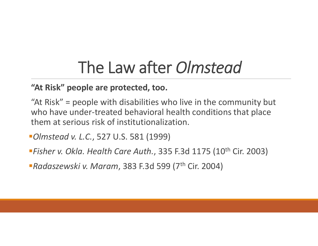## The Law after *Olmstead*

"At Risk" people are protected, too.

"At Risk" = people with disabilities who live in the community but who have under-treated behavioral health conditions that place them at serious risk of institutionalization.

*Olmstead v. L.C.*, 527 U.S. 581 (1999)

*Fisher v. Okla. Health Care Auth.*, 335 F.3d 1175 (10th Cir. 2003)

*Radaszewski v. Maram*, 383 F.3d 599 (7th Cir. 2004)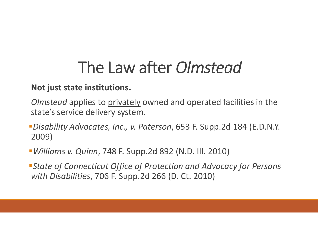## The Law after *Olmstead*

#### Not just state institutions.

- *Olmstead* applies to privately owned and operated facilities in the state's service delivery system.
- *Disability Advocates, Inc., v. Paterson*, 653 F. Supp.2d 184 (E.D.N.Y. 2009)
- *Williams v. Quinn*, 748 F. Supp.2d 892 (N.D. Ill. 2010)
- *State of Connecticut Office of Protection and Advocacy for Persons with Disabilities*, 706 F. Supp.2d 266 (D. Ct. 2010)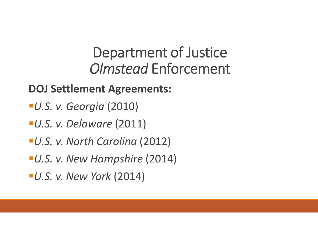### Department of Justice *Olmstead* Enforcement

### DOJ Settlement Agreements:

- *U.S. v. Georgia* (2010)
- *U.S. v. Delaware* (2011)
- *U.S. v. North Carolina* (2012)
- *U.S. v. New Hampshire* (2014)
- *U.S. v. New York* (2014)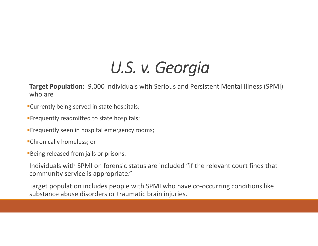Target Population: 9,000 individuals with Serious and Persistent Mental Illness (SPMI) who are

- Currently being served in state hospitals;
- **Frequently readmitted to state hospitals;**
- **Frequently seen in hospital emergency rooms;**
- Chronically homeless; or
- **Being released from jails or prisons.**

Individuals with SPMI on forensic status are included "if the relevant court finds that community service is appropriate."

Target population includes people with SPMI who have co-occurring conditions like substance abuse disorders or traumatic brain injuries.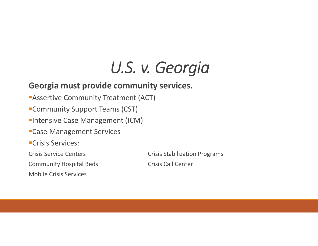#### Georgia must provide community services.

- **Assertive Community Treatment (ACT)**
- Community Support Teams (CST)
- **Intensive Case Management (ICM)**
- Case Management Services
- **-Crisis Services:**
- 
- Community Hospital Beds Crisis Call Center
- Mobile Crisis Services

Crisis Service Centers **Crisis Stabilization Programs**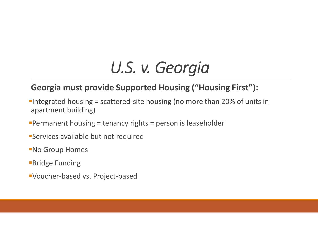### Georgia must provide Supported Housing ("Housing First"):

- Integrated housing = scattered-site housing (no more than 20% of units in apartment building)
- Permanent housing = tenancy rights = person is leaseholder
- Services available but not required
- No Group Homes
- **Bridge Funding**
- Voucher-based vs. Project-based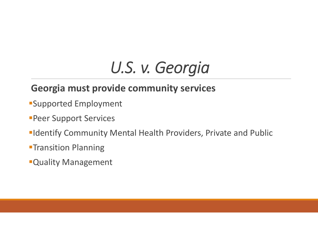### Georgia must provide community services

- Supported Employment
- **Peer Support Services**
- **Identify Community Mental Health Providers, Private and Public**
- **-Transition Planning**
- Quality Management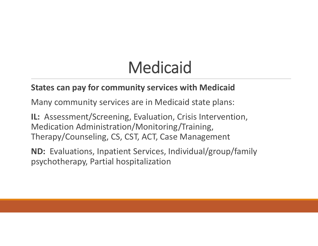# Medicaid

#### States can pay for community services with Medicaid

Many community services are in Medicaid state plans:

IL: Assessment/Screening, Evaluation, Crisis Intervention, Medication Administration/Monitoring/Training, Therapy/Counseling, CS, CST, ACT, Case Management

ND: Evaluations, Inpatient Services, Individual/group/family psychotherapy, Partial hospitalization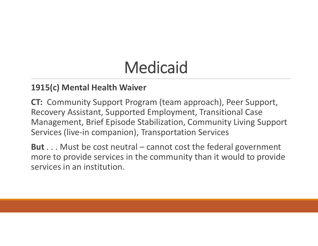# Medicaid

#### 1915(c) Mental Health Waiver

CT: Community Support Program (team approach), Peer Support, Recovery Assistant, Supported Employment, Transitional Case Management, Brief Episode Stabilization, Community Living Support Services (live-in companion), Transportation Services

But . . . Must be cost neutral – cannot cost the federal government more to provide services in the community than it would to provide services in an institution.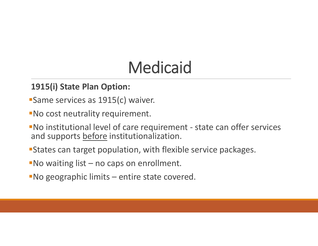# Medicaid

#### 1915(i) State Plan Option:

- **Same services as 1915(c) waiver.**
- No cost neutrality requirement.
- No institutional level of care requirement state can offer services and supports before institutionalization.
- States can target population, with flexible service packages.
- No waiting list no caps on enrollment.
- No geographic limits entire state covered.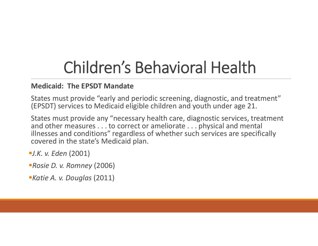## Children's Behavioral Health

#### Medicaid: The EPSDT Mandate

States must provide "early and periodic screening, diagnostic, and treatment" (EPSDT) services to Medicaid eligible children and youth under age 21.

States must provide any "necessary health care, diagnostic services, treatment and other measures . . . to correct or ameliorate . . . physical and mental illnesses and conditions" regardless of whether such services are specifically covered in the state's Medicaid plan.

*J.K. v. Eden* (2001)

- *Rosie D. v. Romney* (2006)
- *Katie A. v. Douglas* (2011)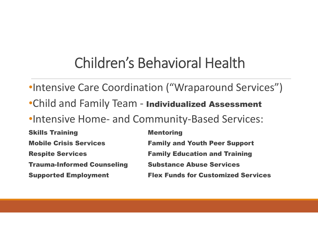### Children's Behavioral Health

- •Intensive Care Coordination ("Wraparound Services")
- •Child and Family Team Individualized Assessment
- •Intensive Home- and Community-Based Services:

**Skills Training Communist Communist Communist Communist Communist Communist Communist Communist Communist Communist Communist Communist Communist Communist Communist Communist Communist Communist Communist Communist Commu** Mobile Crisis Services Family and Youth Peer Support Respite Services Family Education and Training **Trauma-Informed Counseling Substance Abuse Services** Supported Employment Flex Funds for Customized Services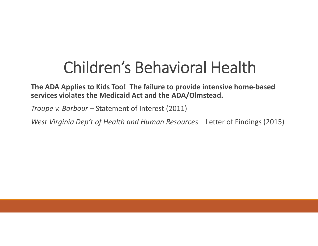## Children's Behavioral Health

The ADA Applies to Kids Too! The failure to provide intensive home-based services violates the Medicaid Act and the ADA/Olmstead.

*Troupe v. Barbour* – Statement of Interest (2011)

*West Virginia Dep't of Health and Human Resources* – Letter of Findings (2015)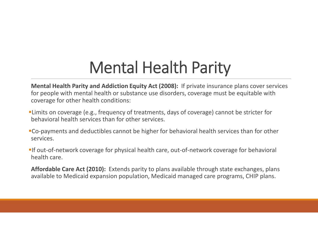## Mental Health Parity

Mental Health Parity and Addiction Equity Act (2008): If private insurance plans cover services for people with mental health or substance use disorders, coverage must be equitable with coverage for other health conditions:

- Limits on coverage (e.g., frequency of treatments, days of coverage) cannot be stricter for behavioral health services than for other services.
- Co-payments and deductibles cannot be higher for behavioral health services than for other services.
- If out-of-network coverage for physical health care, out-of-network coverage for behavioral health care.

Affordable Care Act (2010): Extends parity to plans available through state exchanges, plans available to Medicaid expansion population, Medicaid managed care programs, CHIP plans.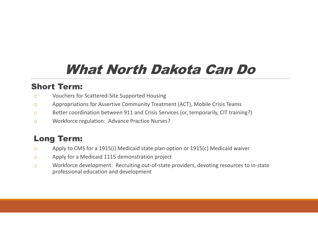### What North Dakota Can Do

#### Short Term:

- o Vouchers for Scattered-Site Supported Housing
- o Appropriations for Assertive Community Treatment (ACT), Mobile Crisis Teams
- o Better coordination between 911 and Crisis Services (or, temporarily, CIT training?)
- o Workforce regulation: Advance Practice Nurses?

#### Long Term:

- o Apply to CMS for a 1915(i) Medicaid state plan option or 1915(c) Medicaid waiver
- o Apply for a Medicaid 1115 demonstration project
- o Workforce development: Recruiting out-of-state providers, devoting resources to in-state professional education and development